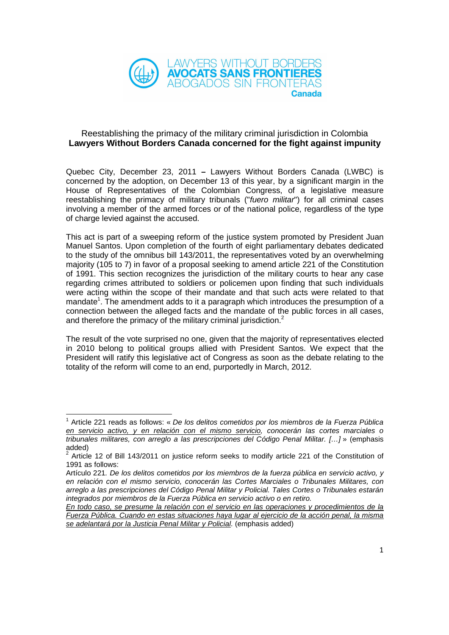

## Reestablishing the primacy of the military criminal jurisdiction in Colombia **Lawyers Without Borders Canada concerned for the fight against impunity**

Quebec City, December 23, 2011 **–** Lawyers Without Borders Canada (LWBC) is concerned by the adoption, on December 13 of this year, by a significant margin in the House of Representatives of the Colombian Congress, of a legislative measure reestablishing the primacy of military tribunals ("fuero militar") for all criminal cases involving a member of the armed forces or of the national police, regardless of the type of charge levied against the accused.

This act is part of a sweeping reform of the justice system promoted by President Juan Manuel Santos. Upon completion of the fourth of eight parliamentary debates dedicated to the study of the omnibus bill 143/2011, the representatives voted by an overwhelming majority (105 to 7) in favor of a proposal seeking to amend article 221 of the Constitution of 1991. This section recognizes the jurisdiction of the military courts to hear any case regarding crimes attributed to soldiers or policemen upon finding that such individuals were acting within the scope of their mandate and that such acts were related to that mandate<sup>1</sup>. The amendment adds to it a paragraph which introduces the presumption of a connection between the alleged facts and the mandate of the public forces in all cases, and therefore the primacy of the military criminal jurisdiction.<sup>2</sup>

The result of the vote surprised no one, given that the majority of representatives elected in 2010 belong to political groups allied with President Santos. We expect that the President will ratify this legislative act of Congress as soon as the debate relating to the totality of the reform will come to an end, purportedly in March, 2012.

 $\overline{a}$ 

<sup>1</sup> Article 221 reads as follows: « De los delitos cometidos por los miembros de la Fuerza Pública en servicio activo, y en relación con el mismo servicio, conocerán las cortes marciales o tribunales militares, con arreglo a las prescripciones del Código Penal Militar. […] » (emphasis added)

<sup>2</sup> Article 12 of Bill 143/2011 on justice reform seeks to modify article 221 of the Constitution of 1991 as follows:

Artículo 221. De los delitos cometidos por los miembros de la fuerza pública en servicio activo, y en relación con el mismo servicio, conocerán las Cortes Marciales o Tribunales Militares, con arreglo a las prescripciones del Código Penal Militar y Policial. Tales Cortes o Tribunales estarán integrados por miembros de la Fuerza Pública en servicio activo o en retiro.

En todo caso, se presume la relación con el servicio en las operaciones y procedimientos de la Fuerza Pública. Cuando en estas situaciones haya lugar al ejercicio de la acción penal, la misma se adelantará por la Justicia Penal Militar y Policial. (emphasis added)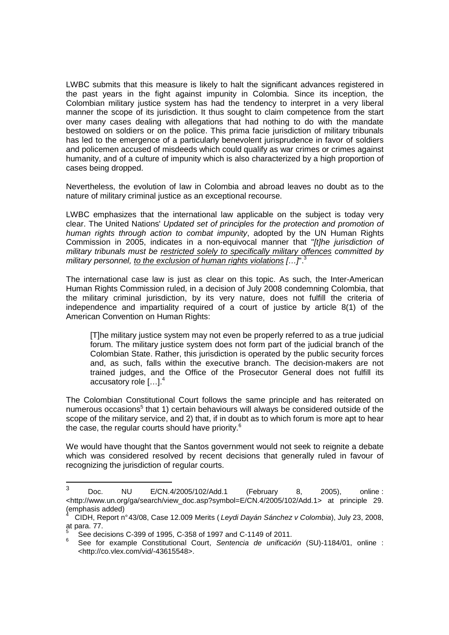LWBC submits that this measure is likely to halt the significant advances registered in the past years in the fight against impunity in Colombia. Since its inception, the Colombian military justice system has had the tendency to interpret in a very liberal manner the scope of its jurisdiction. It thus sought to claim competence from the start over many cases dealing with allegations that had nothing to do with the mandate bestowed on soldiers or on the police. This prima facie jurisdiction of military tribunals has led to the emergence of a particularly benevolent jurisprudence in favor of soldiers and policemen accused of misdeeds which could qualify as war crimes or crimes against humanity, and of a culture of impunity which is also characterized by a high proportion of cases being dropped.

Nevertheless, the evolution of law in Colombia and abroad leaves no doubt as to the nature of military criminal justice as an exceptional recourse.

LWBC emphasizes that the international law applicable on the subject is today very clear. The United Nations' Updated set of principles for the protection and promotion of human rights through action to combat impunity, adopted by the UN Human Rights Commission in 2005, indicates in a non-equivocal manner that "[t]he jurisdiction of military tribunals must be restricted solely to specifically military offences committed by military personnel, to the exclusion of human rights violations  $\left[\ldots\right]^3$ 

The international case law is just as clear on this topic. As such, the Inter-American Human Rights Commission ruled, in a decision of July 2008 condemning Colombia, that the military criminal jurisdiction, by its very nature, does not fulfill the criteria of independence and impartiality required of a court of justice by article 8(1) of the American Convention on Human Rights:

[T]he military justice system may not even be properly referred to as a true judicial forum. The military justice system does not form part of the judicial branch of the Colombian State. Rather, this jurisdiction is operated by the public security forces and, as such, falls within the executive branch. The decision-makers are not trained judges, and the Office of the Prosecutor General does not fulfill its accusatory role  $[...]^4$ 

The Colombian Constitutional Court follows the same principle and has reiterated on numerous occasions<sup>5</sup> that 1) certain behaviours will always be considered outside of the scope of the military service, and 2) that, if in doubt as to which forum is more apt to hear the case, the regular courts should have priority.<sup>6</sup>

We would have thought that the Santos government would not seek to reignite a debate which was considered resolved by recent decisions that generally ruled in favour of recognizing the jurisdiction of regular courts.

 $\overline{a}$ 

<sup>3</sup> Doc. NU E/CN.4/2005/102/Add.1 (February 8, 2005), online : <http://www.un.org/ga/search/view\_doc.asp?symbol=E/CN.4/2005/102/Add.1> at principle 29. (emphasis added)

<sup>4</sup> CIDH, Report n° 43/08, Case 12.009 Merits ( Leydi Dayán Sánchez v Colombia), July 23, 2008, at para. 77.

<sup>5</sup> See decisions C-399 of 1995, C-358 of 1997 and C-1149 of 2011.

<sup>6</sup> See for example Constitutional Court. Sentencia de unificación (SU)-1184/01, online : <http://co.vlex.com/vid/-43615548>.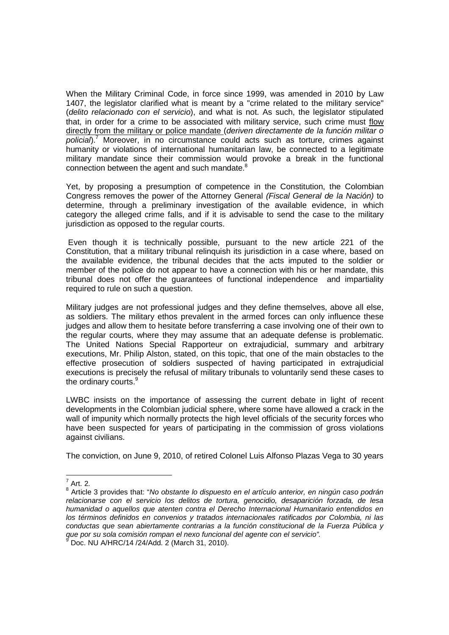When the Military Criminal Code, in force since 1999, was amended in 2010 by Law 1407, the legislator clarified what is meant by a "crime related to the military service" (delito relacionado con el servicio), and what is not. As such, the legislator stipulated that, in order for a crime to be associated with military service, such crime must flow directly from the military or police mandate (deriven directamente de la función militar o policial).<sup>7</sup> Moreover, in no circumstance could acts such as torture, crimes against humanity or violations of international humanitarian law, be connected to a legitimate military mandate since their commission would provoke a break in the functional connection between the agent and such mandate. $8$ 

Yet, by proposing a presumption of competence in the Constitution, the Colombian Congress removes the power of the Attorney General (Fiscal General de la Nación) to determine, through a preliminary investigation of the available evidence, in which category the alleged crime falls, and if it is advisable to send the case to the military jurisdiction as opposed to the regular courts.

 Even though it is technically possible, pursuant to the new article 221 of the Constitution, that a military tribunal relinquish its jurisdiction in a case where, based on the available evidence, the tribunal decides that the acts imputed to the soldier or member of the police do not appear to have a connection with his or her mandate, this tribunal does not offer the guarantees of functional independence and impartiality required to rule on such a question.

Military judges are not professional judges and they define themselves, above all else, as soldiers. The military ethos prevalent in the armed forces can only influence these judges and allow them to hesitate before transferring a case involving one of their own to the regular courts, where they may assume that an adequate defense is problematic. The United Nations Special Rapporteur on extrajudicial, summary and arbitrary executions, Mr. Philip Alston, stated, on this topic, that one of the main obstacles to the effective prosecution of soldiers suspected of having participated in extrajudicial executions is precisely the refusal of military tribunals to voluntarily send these cases to the ordinary courts.<sup>9</sup>

LWBC insists on the importance of assessing the current debate in light of recent developments in the Colombian judicial sphere, where some have allowed a crack in the wall of impunity which normally protects the high level officials of the security forces who have been suspected for years of participating in the commission of gross violations against civilians.

The conviction, on June 9, 2010, of retired Colonel Luis Alfonso Plazas Vega to 30 years

l

 $^7$  Art. 2.

<sup>&</sup>lt;sup>8</sup> Article 3 provides that: "No obstante lo dispuesto en el artículo anterior, en ningún caso podrán relacionarse con el servicio los delitos de tortura, genocidio, desaparición forzada, de lesa humanidad o aquellos que atenten contra el Derecho Internacional Humanitario entendidos en los términos definidos en convenios y tratados internacionales ratificados por Colombia, ni las conductas que sean abiertamente contrarias a la función constitucional de la Fuerza Pública y que por su sola comisión rompan el nexo funcional del agente con el servicio".<br>9 Des NU MURC/44 (2410 de 2010 personal)

 $\overline{D}$  Doc. NU A/HRC/14 /24/Add. 2 (March 31, 2010).